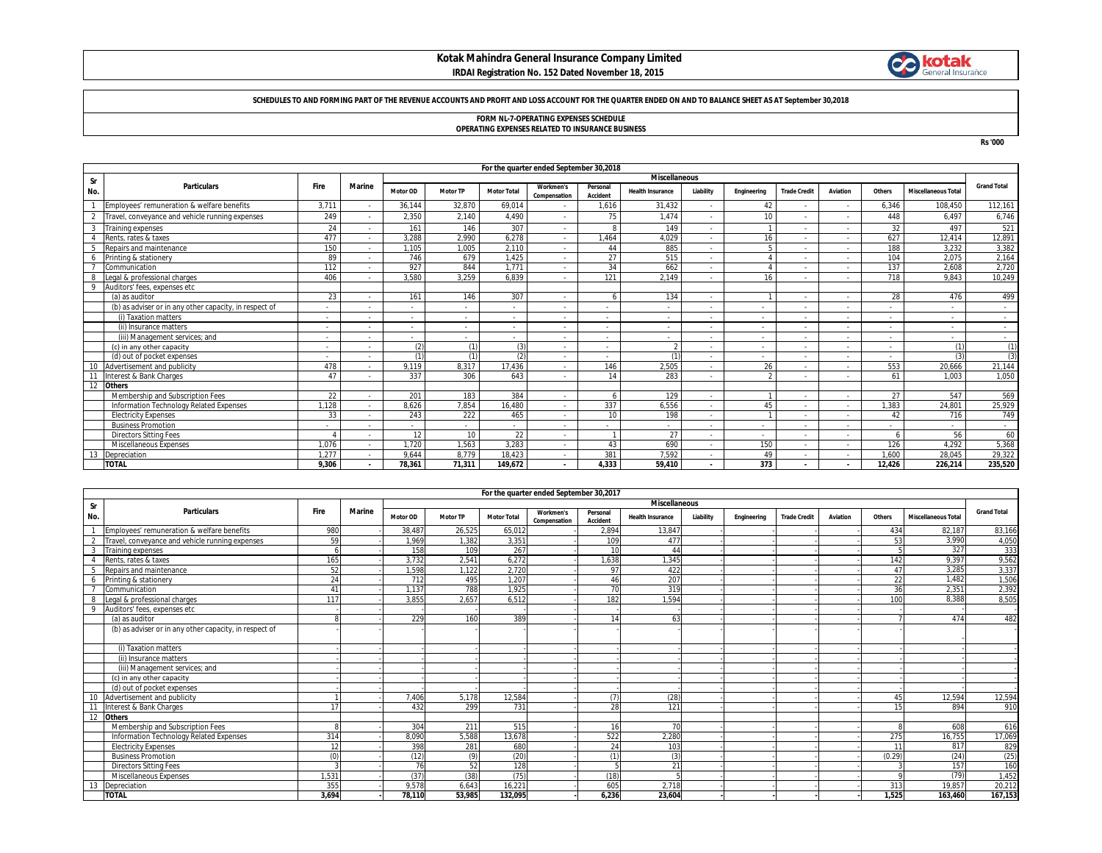# **Kotak Mahindra General Insurance Company Limited**



### **IRDAI Registration No. 152 Dated November 18, 2015**

### **SCHEDULES TO AND FORMING PART OF THE REVENUE ACCOUNTS AND PROFIT AND LOSS ACCOUNT FOR THE QUARTER ENDED ON AND TO BALANCE SHEET AS AT September 30,2018**

# **FORM NL-7-OPERATING EXPENSES SCHEDULE**

**OPERATING EXPENSES RELATED TO INSURANCE BUSINESS**

**Rs '000**

|     |                                                        |                          |                          |            |                 |                          | For the quarter ended September 30,2018 |                      |                         |           |             |                     |          |                          |                            |                          |
|-----|--------------------------------------------------------|--------------------------|--------------------------|------------|-----------------|--------------------------|-----------------------------------------|----------------------|-------------------------|-----------|-------------|---------------------|----------|--------------------------|----------------------------|--------------------------|
| Sr  |                                                        |                          |                          |            |                 |                          |                                         |                      | <b>Miscellaneous</b>    |           |             |                     |          |                          |                            |                          |
| No. | <b>Particulars</b>                                     | Fire                     | Marine                   | Motor OD   | <b>Motor TP</b> | <b>Motor Total</b>       | <b>Workmen's</b><br>Compensation        | Personal<br>Accident | <b>Health Insurance</b> | Liability | Engineering | <b>Trade Credit</b> | Aviation | Others                   | <b>Miscellaneous Total</b> | <b>Grand Total</b>       |
|     | Employees' remuneration & welfare benefits             | 3.711                    |                          | 36.144     | 32,870          | 69.014                   |                                         | 1,616                | 31,432                  |           | 42          |                     |          | 6,346                    | 108.450                    | 112,161                  |
| 2   | Travel, conveyance and vehicle running expenses        | 249                      |                          | 2,350      | 2,140           | 4.490                    |                                         | 75                   | 1.474                   |           | 10          |                     |          | 448                      | 6.497                      | 6,746                    |
| 3   | <b>Training expenses</b>                               | 24                       |                          | 161        | 146             | 307                      | $\overline{\phantom{a}}$                | $\mathbf{R}$         | 149                     | $\sim$    |             |                     |          | 32                       | 497                        | 521                      |
|     | Rents, rates & taxes                                   | 477                      |                          | 3.288      | 2.990           | 6.278                    | ٠                                       | 1.464                | 4.029                   | $\sim$    | 16          |                     |          | 627                      | 12.414                     | 12,891                   |
|     | Repairs and maintenance                                | 150                      |                          | 1.105      | 1.005           | 2,110                    | ٠                                       | 44                   | 885                     | $\sim$    |             |                     |          | 188                      | 3,232                      | 3,382                    |
|     | Printing & stationery                                  | 89                       |                          | 746        | 679             | 1,425                    | ٠                                       | 27                   | 515                     | $\sim$    |             |                     |          | 104                      | 2.075                      | 2,164                    |
|     | Communication                                          | 112                      |                          | 927        | 844             | 1.771                    | $\overline{\phantom{a}}$                | 34                   | 662                     | $\sim$    |             |                     |          | 137                      | 2.608                      | 2,720                    |
|     | Legal & professional charges                           | 406                      |                          | 3.580      | 3.259           | 6.839                    | $\overline{\phantom{a}}$                | 121                  | 2.149                   | $\sim$    | 16          |                     |          | 718                      | 9.843                      | 10,249                   |
| 9   | Auditors' fees, expenses etc                           |                          |                          |            |                 |                          |                                         |                      |                         |           |             |                     |          |                          |                            |                          |
|     | (a) as auditor                                         | 23                       |                          | 161        | 146             | 307                      | ٠                                       |                      | 134                     |           |             |                     |          | 28                       | 476                        | 499                      |
|     | (b) as adviser or in any other capacity, in respect of |                          |                          |            |                 |                          |                                         |                      |                         |           |             |                     |          |                          |                            |                          |
|     | (i) Taxation matters                                   | $\overline{\phantom{a}}$ |                          | $\sim$     |                 | $\overline{\phantom{a}}$ | $\overline{\phantom{a}}$                |                      |                         |           | $\sim$      |                     |          | $\overline{\phantom{a}}$ | $\overline{\phantom{a}}$   |                          |
|     | (ii) Insurance matters                                 | ۰.                       |                          | . .        |                 | $\overline{\phantom{a}}$ | $\overline{\phantom{a}}$                |                      |                         | ۰.        | $\sim$      |                     |          | ٠                        | $\overline{\phantom{a}}$   | $\sim$                   |
|     | (iii) Management services: and                         | ۰.                       |                          | $\sim$     |                 | $\overline{\phantom{a}}$ | $\overline{\phantom{a}}$                |                      |                         |           | $\sim$      |                     |          | $\overline{\phantom{a}}$ | $\overline{\phantom{a}}$   | $\sim$                   |
|     | (c) in any other capacity                              | $\overline{\phantom{a}}$ |                          | (2)        | (1)             | (3)                      | $\overline{\phantom{a}}$                |                      | $\mathfrak{D}$          | $\sim$    | $\sim$      |                     |          | $\overline{\phantom{a}}$ | (1)                        | (1)                      |
|     | (d) out of pocket expenses                             | $\sim$                   | $\overline{\phantom{a}}$ | $\sqrt{1}$ | (1)             | (2)                      | $\overline{\phantom{a}}$                |                      | (1)                     | $\sim$    | $\sim$      |                     |          | $\overline{\phantom{a}}$ | (3)                        | (3)                      |
| 10  | Advertisement and publicity                            | 478                      |                          | 9.119      | 8.317           | 17.436                   | $\overline{\phantom{a}}$                | 146                  | 2,505                   |           | 26          |                     |          | 553                      | 20.666                     | 21,144                   |
| 11  | Interest & Bank Charges                                | 47                       |                          | 337        | 306             | 643                      | $\overline{\phantom{a}}$                | 14                   | 283                     |           |             |                     |          | 61                       | 1.003                      | 1.050                    |
| 12  | <b>Others</b>                                          |                          |                          |            |                 |                          |                                         |                      |                         |           |             |                     |          |                          |                            |                          |
|     | Membership and Subscription Fees                       | 22                       |                          | 201        | 183             | 384                      | $\overline{\phantom{a}}$                |                      | 129                     | $\sim$    |             |                     |          | 27                       | 547                        | 569                      |
|     | Information Technology Related Expenses                | 1.128                    |                          | 8.626      | 7.854           | 16.480                   | $\overline{\phantom{a}}$                | 337                  | 6.556                   | $\sim$    | 45          |                     |          | 1.383                    | 24.801                     | 25,929                   |
|     | <b>Electricity Expenses</b>                            | 33                       |                          | 243        | 222             | 465                      | $\overline{\phantom{a}}$                | 10 <sup>1</sup>      | 198                     | $\sim$    |             |                     |          | 42                       | 716                        | 749                      |
|     | <b>Business Promotion</b>                              | $\overline{\phantom{a}}$ |                          | $\sim$     |                 | $\overline{\phantom{a}}$ | $\overline{\phantom{a}}$                |                      |                         | $\sim$    | $\sim$      |                     |          | ٠                        |                            | $\overline{\phantom{a}}$ |
|     | <b>Directors Sitting Fees</b>                          |                          |                          | 12         | 10              | 22                       | $\overline{\phantom{a}}$                |                      | 27                      | $\sim$    | $\sim$      |                     |          |                          | 56                         | 60                       |
|     | Miscellaneous Expenses                                 | 1.076                    |                          | 1.720      | 1,563           | 3.283                    | $\overline{\phantom{a}}$                | 43                   | 690                     | $\sim$    | 150         |                     |          | 126                      | 4.292                      | 5,368                    |
| 13  | Depreciation                                           | 1,277                    |                          | 9.644      | 8.779           | 18,423                   | ٠                                       | 381                  | 7,592                   | $\sim$    | 49          |                     |          | 1,600                    | 28.045                     | 29,322                   |
|     | <b>TOTAL</b>                                           | 9.306                    | $\blacksquare$           | 78.361     | 71,311          | 149.672                  | $\blacksquare$                          | 4,333                | 59.410                  | $\sim$    | 373         |                     |          | 12.426                   | 226.214                    | 235,520                  |

|                |                                                        |       |        |          |                 |                    | For the quarter ended September 30,2017 |                             |                         |           |             |                     |          |        |                            |                    |
|----------------|--------------------------------------------------------|-------|--------|----------|-----------------|--------------------|-----------------------------------------|-----------------------------|-------------------------|-----------|-------------|---------------------|----------|--------|----------------------------|--------------------|
| Sr             |                                                        |       |        |          |                 |                    |                                         |                             | <b>Miscellaneous</b>    |           |             |                     |          |        |                            |                    |
| No.            | <b>Particulars</b>                                     | Fire  | Marine | Motor OD | <b>Motor TP</b> | <b>Motor Total</b> | <b>Workmen's</b><br>Compensation        | Personal<br><b>Accident</b> | <b>Health Insurance</b> | Liability | Engineering | <b>Trade Credit</b> | Aviation | Others | <b>Miscellaneous Total</b> | <b>Grand Total</b> |
|                | Employees' remuneration & welfare benefits             | 980   |        | 38.487   | 26.525          | 65.012             |                                         | 2.894                       | 13.847                  |           |             |                     |          | 434    | 82.187                     | 83.166             |
| $\mathfrak{D}$ | Travel, conveyance and vehicle running expenses        | 59    |        | 1.969    | 1.382           | 3.351              |                                         | 109                         | 477                     |           |             |                     |          | 53     | 3,990                      | 4,050              |
| 3              | <b>Training expenses</b>                               |       |        | 158      | 109             | 267                |                                         | 10                          | 44                      |           |             |                     |          |        | 327                        | 333                |
|                | Rents, rates & taxes                                   | 165   |        | 3,732    | 2,541           | 6,272              |                                         | 1,638                       | ,345                    |           |             |                     |          | 142    | 9,397                      | 9,562              |
|                | Repairs and maintenance                                | 52    |        | 1.598    | 1.122           | 2.720              |                                         | 97                          | 422                     |           |             |                     |          | 47     | 3,285                      | 3,337              |
| 6              | Printing & stationery                                  | 24    |        | 712      | 495             | 1.207              |                                         | 46                          | 207                     |           |             |                     |          | 22     | 1.482                      | 1,506              |
|                | Communication                                          | 41    |        | 1.137    | 788             | 1.925              |                                         | 70                          | 319                     |           |             |                     |          | 36     | 2,351                      | 2,392              |
|                | Legal & professional charges                           | 117   |        | 3.855    | 2.657           | 6,512              |                                         | 182                         | 1.594                   |           |             |                     |          | 100    | 8.388                      | 8,505              |
| 9              | Auditors' fees, expenses etc                           |       |        |          |                 |                    |                                         |                             |                         |           |             |                     |          |        |                            |                    |
|                | (a) as auditor                                         |       |        | 229      | 160             | 389                |                                         | 14                          | 63                      |           |             |                     |          |        | 474                        | 482                |
|                | (b) as adviser or in any other capacity, in respect of |       |        |          |                 |                    |                                         |                             |                         |           |             |                     |          |        |                            |                    |
|                | (i) Taxation matters                                   |       |        |          |                 |                    |                                         |                             |                         |           |             |                     |          |        |                            |                    |
|                | (ii) Insurance matters                                 |       |        |          |                 |                    |                                         |                             |                         |           |             |                     |          |        |                            |                    |
|                | (iii) Management services; and                         |       |        |          |                 |                    |                                         |                             |                         |           |             |                     |          |        |                            |                    |
|                | (c) in any other capacity                              |       |        |          |                 |                    |                                         |                             |                         |           |             |                     |          |        |                            |                    |
|                | (d) out of pocket expenses                             |       |        |          |                 |                    |                                         |                             |                         |           |             |                     |          |        |                            |                    |
| 10             | Advertisement and publicity                            |       |        | 7,406    | 5.178           | 12,584             |                                         | (7)                         | (28)                    |           |             |                     |          | 45     | 12,594                     | 12,594             |
| 11             | Interest & Bank Charges                                |       |        | 432      | 299             | 731                |                                         | 28                          | 121                     |           |             |                     |          | 15     | 894                        | 910                |
| 12             | <b>Others</b>                                          |       |        |          |                 |                    |                                         |                             |                         |           |             |                     |          |        |                            |                    |
|                | Membership and Subscription Fees                       |       |        | 304      | 211             | 515                |                                         | 16                          | 70                      |           |             |                     |          |        | 608                        | 616                |
|                | Information Technology Related Expenses                | 314   |        | 8.090    | 5.588           | 13.678             |                                         | 522                         | 2,280                   |           |             |                     |          | 275    | 16,755                     | 17,069             |
|                | <b>Electricity Expenses</b>                            | 12    |        | 398      | 281             | 680                |                                         | 24                          | 103                     |           |             |                     |          | 11     | 817                        | 829                |
|                | <b>Business Promotion</b>                              | (0)   |        | (12)     | (9)             | (20)               |                                         | (1)                         | (3)                     |           |             |                     |          | (0.29) | (24)                       | (25)               |
|                | <b>Directors Sitting Fees</b>                          |       |        | 76       | 52              | 128                |                                         |                             | 21                      |           |             |                     |          |        | 157                        | 160                |
|                | Miscellaneous Expenses                                 | 1.531 |        | (37)     | (38)            | (75)               |                                         | (18)                        |                         |           |             |                     |          |        | (79)                       | 1,452              |
| 13             | Depreciation                                           | 355   |        | 9.578    | 6.643           | 16.221             |                                         | 605                         | 2.718                   |           |             |                     |          | 313    | 19.857                     | 20,212             |
|                | <b>TOTAL</b>                                           | 3.694 |        | 78.110   | 53.985          | 132.095            |                                         | 6.236                       | 23.604                  |           |             |                     |          | 1.525  | 163.460                    | 167,153            |